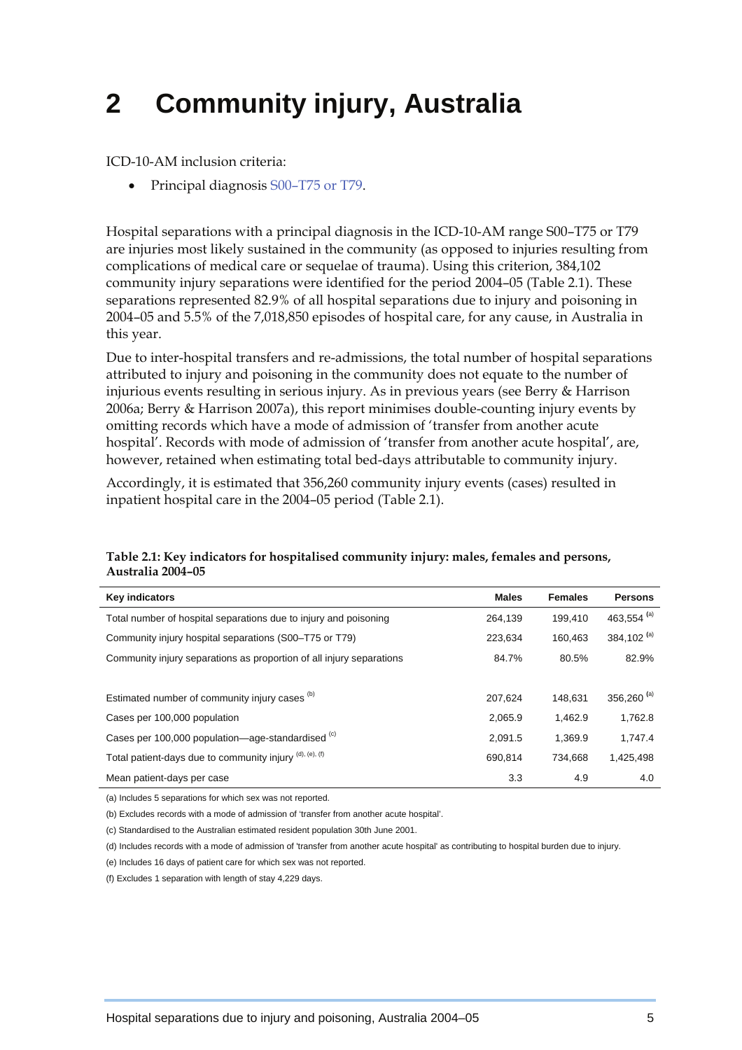# **2 Community injury, Australia**

ICD-10-AM inclusion criteria:

• Principal diagnosis S00–T75 or T79.

Hospital separations with a principal diagnosis in the ICD-10-AM range S00–T75 or T79 are injuries most likely sustained in the community (as opposed to injuries resulting from complications of medical care or sequelae of trauma). Using this criterion, 384,102 community injury separations were identified for the period 2004–05 (Table 2.1). These separations represented 82.9% of all hospital separations due to injury and poisoning in 2004–05 and 5.5% of the 7,018,850 episodes of hospital care, for any cause, in Australia in this year.

Due to inter-hospital transfers and re-admissions, the total number of hospital separations attributed to injury and poisoning in the community does not equate to the number of injurious events resulting in serious injury. As in previous years (see Berry & Harrison 2006a; Berry & Harrison 2007a), this report minimises double-counting injury events by omitting records which have a mode of admission of 'transfer from another acute hospital'. Records with mode of admission of 'transfer from another acute hospital', are, however, retained when estimating total bed-days attributable to community injury.

Accordingly, it is estimated that 356,260 community injury events (cases) resulted in inpatient hospital care in the 2004–05 period (Table 2.1).

### **Key indicators Contract Persons and Contract Persons in the Males Persons in the Males Persons in the Males Persons in the Males Persons in the Males Persons in the Males Persons in the Males Persons in the Males Persons** Total number of hospital separations due to injury and poisoning 264,139 199,410 463,554 **(**a) Community injury hospital separations (S00–T75 or T79) 223,634 160,463 384,102 **(**a) Community injury separations as proportion of all injury separations 84.7% 80.5% 82.9% Estimated number of community injury cases (b) 207,624 148,631 356,260 **(**a) Cases per 100,000 population 2,065.9 1,462.9 1,762.8 Cases per 100,000 population—age-standardised  $\frac{(c)}{2}$  2,091.5 1,369.9 1,747.4 Total patient-days due to community injury  $<sup>(d)</sup>, (<sup>e)</sup>, (<sup>f)</sup>$  690,814 734,668 1,425,498</sup> Mean patient-days per case 3.3 4.9 4.0

#### **Table 2.1: Key indicators for hospitalised community injury: males, females and persons, Australia 2004–05**

(a) Includes 5 separations for which sex was not reported.

(b) Excludes records with a mode of admission of 'transfer from another acute hospital'.

(c) Standardised to the Australian estimated resident population 30th June 2001.

(d) Includes records with a mode of admission of 'transfer from another acute hospital' as contributing to hospital burden due to injury.

(e) Includes 16 days of patient care for which sex was not reported.

(f) Excludes 1 separation with length of stay 4,229 days.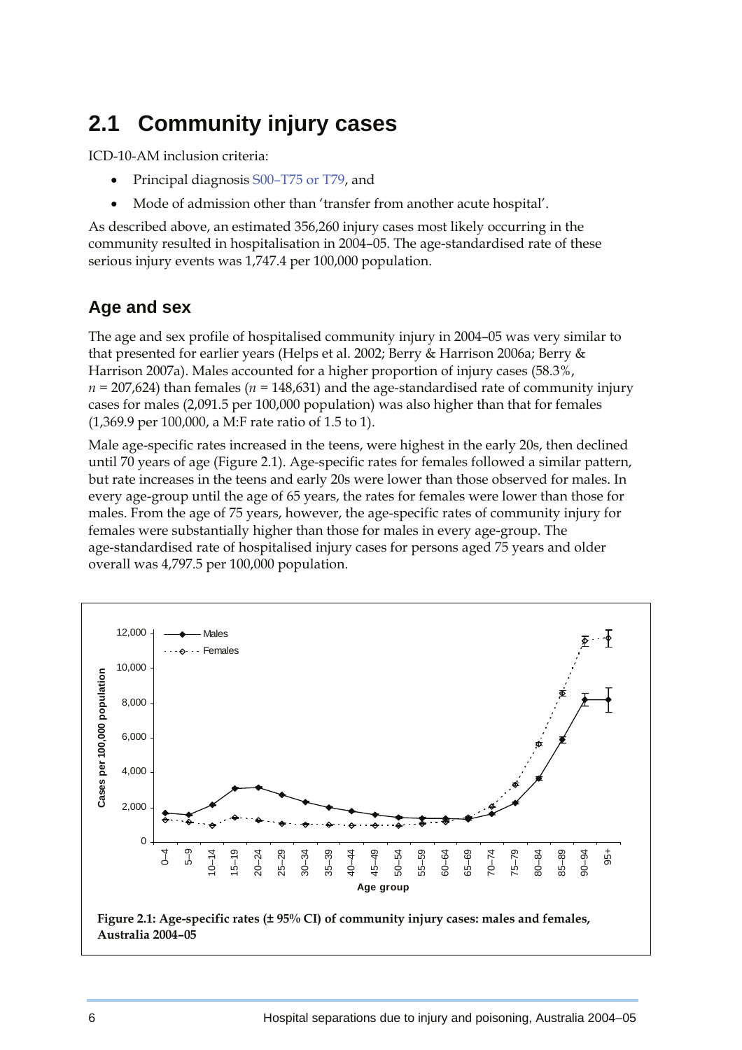## **2.1 Community injury cases**

ICD-10-AM inclusion criteria:

- Principal diagnosis S00–T75 or T79, and
- Mode of admission other than 'transfer from another acute hospital'.

As described above, an estimated 356,260 injury cases most likely occurring in the community resulted in hospitalisation in 2004–05. The age-standardised rate of these serious injury events was 1,747.4 per 100,000 population.

### **Age and sex**

The age and sex profile of hospitalised community injury in 2004–05 was very similar to that presented for earlier years (Helps et al. 2002; Berry & Harrison 2006a; Berry & Harrison 2007a). Males accounted for a higher proportion of injury cases (58.3%, *n =* 207,624) than females (*n =* 148,631) and the age-standardised rate of community injury cases for males (2,091.5 per 100,000 population) was also higher than that for females (1,369.9 per 100,000, a M:F rate ratio of 1.5 to 1).

Male age-specific rates increased in the teens, were highest in the early 20s, then declined until 70 years of age (Figure 2.1). Age-specific rates for females followed a similar pattern, but rate increases in the teens and early 20s were lower than those observed for males. In every age-group until the age of 65 years, the rates for females were lower than those for males. From the age of 75 years, however, the age-specific rates of community injury for females were substantially higher than those for males in every age-group. The age-standardised rate of hospitalised injury cases for persons aged 75 years and older overall was 4,797.5 per 100,000 population.

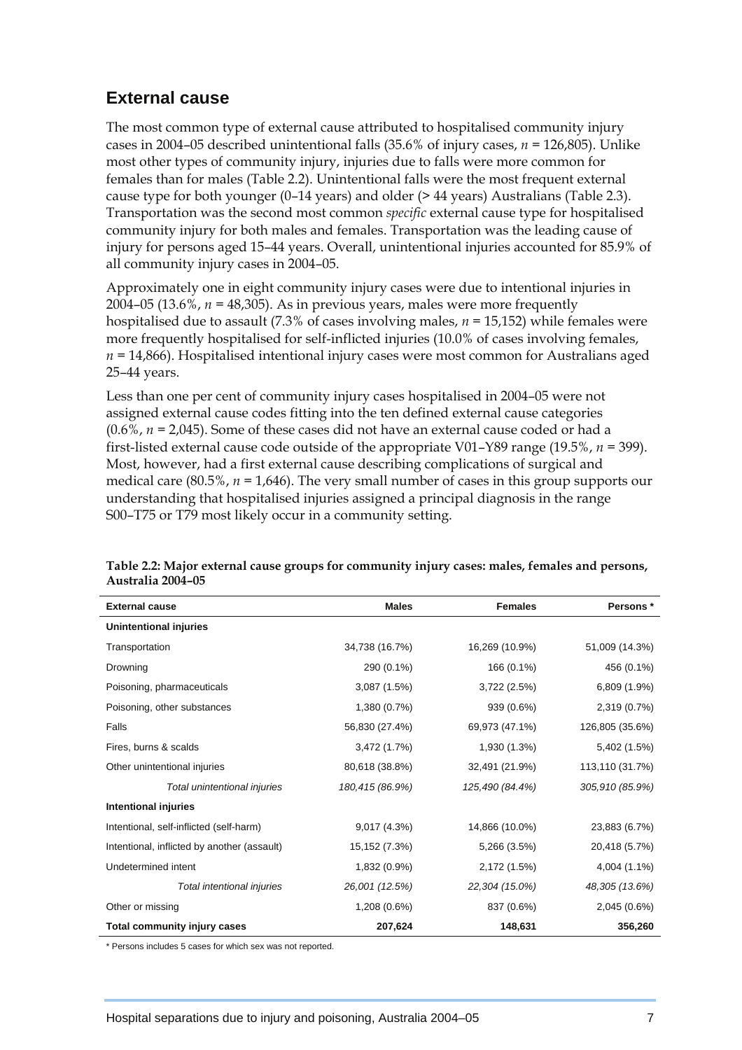### **External cause**

The most common type of external cause attributed to hospitalised community injury cases in 2004–05 described unintentional falls (35.6% of injury cases, *n =* 126,805). Unlike most other types of community injury, injuries due to falls were more common for females than for males (Table 2.2). Unintentional falls were the most frequent external cause type for both younger  $(0-14 \text{ years})$  and older  $(> 44 \text{ years})$  Australians (Table 2.3). Transportation was the second most common *specific* external cause type for hospitalised community injury for both males and females. Transportation was the leading cause of injury for persons aged 15–44 years. Overall, unintentional injuries accounted for 85.9% of all community injury cases in 2004–05.

Approximately one in eight community injury cases were due to intentional injuries in 2004–05 (13.6%, *n =* 48,305). As in previous years, males were more frequently hospitalised due to assault (7.3% of cases involving males, *n =* 15,152) while females were more frequently hospitalised for self-inflicted injuries (10.0% of cases involving females, *n =* 14,866). Hospitalised intentional injury cases were most common for Australians aged 25–44 years.

Less than one per cent of community injury cases hospitalised in 2004–05 were not assigned external cause codes fitting into the ten defined external cause categories (0.6%, *n =* 2,045). Some of these cases did not have an external cause coded or had a first-listed external cause code outside of the appropriate V01–Y89 range (19.5%, *n =* 399). Most, however, had a first external cause describing complications of surgical and medical care (80.5%, *n =* 1,646). The very small number of cases in this group supports our understanding that hospitalised injuries assigned a principal diagnosis in the range S00–T75 or T79 most likely occur in a community setting.

| <b>External cause</b>                       | <b>Males</b>    | <b>Females</b>  | Persons*        |
|---------------------------------------------|-----------------|-----------------|-----------------|
| Unintentional injuries                      |                 |                 |                 |
| Transportation                              | 34,738 (16.7%)  | 16,269 (10.9%)  | 51,009 (14.3%)  |
| Drowning                                    | 290 (0.1%)      | 166 (0.1%)      | 456 (0.1%)      |
| Poisoning, pharmaceuticals                  | 3,087(1.5%)     | 3,722 (2.5%)    | 6,809 (1.9%)    |
| Poisoning, other substances                 | 1,380 (0.7%)    | 939 (0.6%)      | 2,319 (0.7%)    |
| Falls                                       | 56,830 (27.4%)  | 69,973 (47.1%)  | 126,805 (35.6%) |
| Fires, burns & scalds                       | 3,472(1.7%)     | 1,930 (1.3%)    | 5,402 (1.5%)    |
| Other unintentional injuries                | 80,618 (38.8%)  | 32,491 (21.9%)  | 113,110 (31.7%) |
| Total unintentional injuries                | 180,415 (86.9%) | 125,490 (84.4%) | 305,910 (85.9%) |
| <b>Intentional injuries</b>                 |                 |                 |                 |
| Intentional, self-inflicted (self-harm)     | 9,017 (4.3%)    | 14,866 (10.0%)  | 23,883 (6.7%)   |
| Intentional, inflicted by another (assault) | 15,152 (7.3%)   | 5,266 (3.5%)    | 20,418 (5.7%)   |
| Undetermined intent                         | 1,832 (0.9%)    | 2,172 (1.5%)    | 4,004 (1.1%)    |
| Total intentional injuries                  | 26,001 (12.5%)  | 22,304 (15.0%)  | 48,305 (13.6%)  |
| Other or missing                            | 1,208 (0.6%)    | 837 (0.6%)      | 2,045 (0.6%)    |
| Total community injury cases                | 207,624         | 148,631         | 356,260         |

**Table 2.2: Major external cause groups for community injury cases: males, females and persons, Australia 2004–05** 

\* Persons includes 5 cases for which sex was not reported.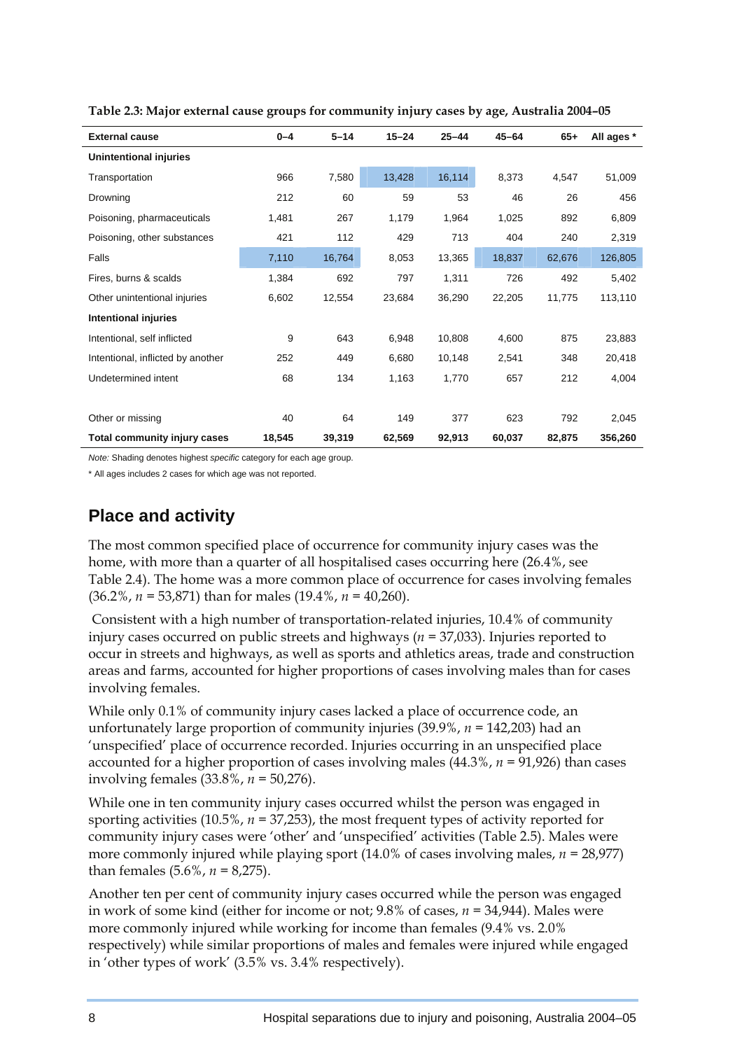| <b>External cause</b>               | $0 - 4$ | $5 - 14$ | $15 - 24$ | $25 - 44$ | $45 - 64$ | $65+$  | All ages * |
|-------------------------------------|---------|----------|-----------|-----------|-----------|--------|------------|
| Unintentional injuries              |         |          |           |           |           |        |            |
| Transportation                      | 966     | 7,580    | 13,428    | 16,114    | 8,373     | 4,547  | 51,009     |
| Drowning                            | 212     | 60       | 59        | 53        | 46        | 26     | 456        |
| Poisoning, pharmaceuticals          | 1,481   | 267      | 1,179     | 1,964     | 1,025     | 892    | 6,809      |
| Poisoning, other substances         | 421     | 112      | 429       | 713       | 404       | 240    | 2,319      |
| Falls                               | 7,110   | 16,764   | 8,053     | 13,365    | 18,837    | 62,676 | 126,805    |
| Fires, burns & scalds               | 1,384   | 692      | 797       | 1,311     | 726       | 492    | 5,402      |
| Other unintentional injuries        | 6,602   | 12,554   | 23,684    | 36,290    | 22,205    | 11,775 | 113,110    |
| Intentional injuries                |         |          |           |           |           |        |            |
| Intentional, self inflicted         | 9       | 643      | 6,948     | 10,808    | 4,600     | 875    | 23,883     |
| Intentional, inflicted by another   | 252     | 449      | 6,680     | 10,148    | 2,541     | 348    | 20,418     |
| Undetermined intent                 | 68      | 134      | 1,163     | 1,770     | 657       | 212    | 4,004      |
|                                     |         |          |           |           |           |        |            |
| Other or missing                    | 40      | 64       | 149       | 377       | 623       | 792    | 2,045      |
| <b>Total community injury cases</b> | 18,545  | 39,319   | 62,569    | 92,913    | 60,037    | 82,875 | 356,260    |

**Table 2.3: Major external cause groups for community injury cases by age, Australia 2004–05** 

*Note:* Shading denotes highest *specific* category for each age group.

\* All ages includes 2 cases for which age was not reported.

### **Place and activity**

The most common specified place of occurrence for community injury cases was the home, with more than a quarter of all hospitalised cases occurring here (26.4%, see Table 2.4). The home was a more common place of occurrence for cases involving females (36.2%, *n =* 53,871) than for males (19.4%, *n =* 40,260).

 Consistent with a high number of transportation-related injuries, 10.4% of community injury cases occurred on public streets and highways (*n =* 37,033). Injuries reported to occur in streets and highways, as well as sports and athletics areas, trade and construction areas and farms, accounted for higher proportions of cases involving males than for cases involving females.

While only 0.1% of community injury cases lacked a place of occurrence code, an unfortunately large proportion of community injuries (39.9%, *n =* 142,203) had an 'unspecified' place of occurrence recorded. Injuries occurring in an unspecified place accounted for a higher proportion of cases involving males (44.3%, *n =* 91,926) than cases involving females (33.8%, *n =* 50,276).

While one in ten community injury cases occurred whilst the person was engaged in sporting activities (10.5%, *n =* 37,253), the most frequent types of activity reported for community injury cases were 'other' and 'unspecified' activities (Table 2.5). Males were more commonly injured while playing sport (14.0% of cases involving males, *n =* 28,977) than females (5.6%, *n =* 8,275).

Another ten per cent of community injury cases occurred while the person was engaged in work of some kind (either for income or not; 9.8% of cases, *n =* 34,944). Males were more commonly injured while working for income than females (9.4% vs. 2.0% respectively) while similar proportions of males and females were injured while engaged in 'other types of work' (3.5% vs. 3.4% respectively).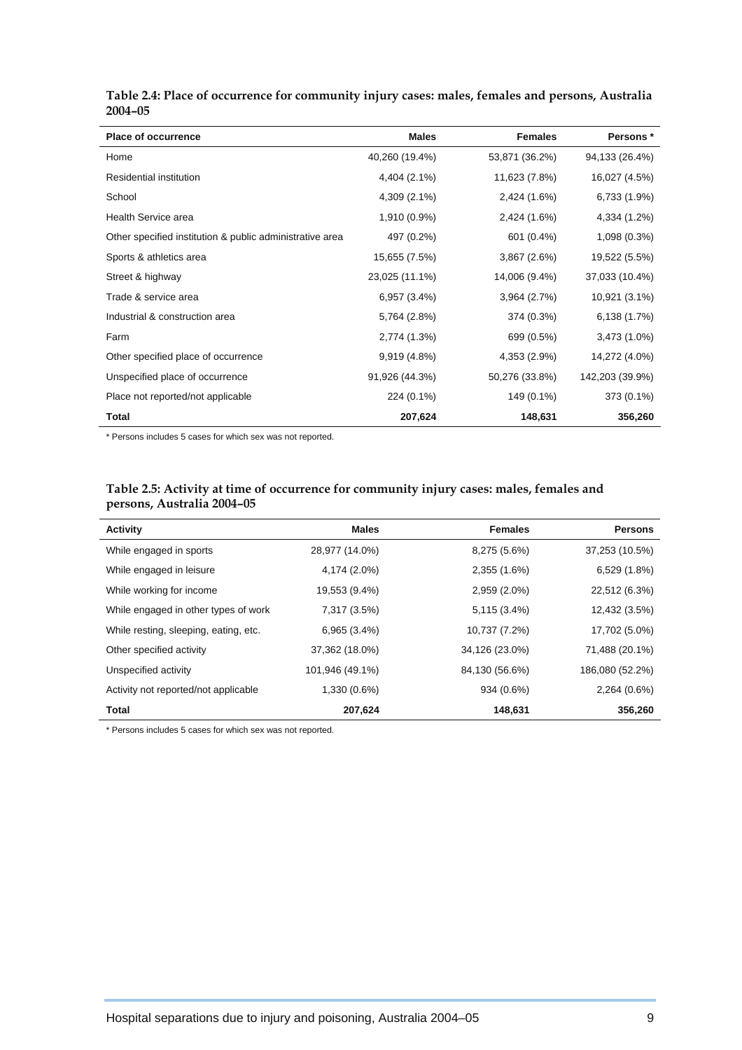| <b>Place of occurrence</b>                               | <b>Males</b>   | <b>Females</b> | Persons *       |
|----------------------------------------------------------|----------------|----------------|-----------------|
| Home                                                     | 40,260 (19.4%) | 53,871 (36.2%) | 94,133 (26.4%)  |
| Residential institution                                  | 4,404 (2.1%)   | 11,623 (7.8%)  | 16,027 (4.5%)   |
| School                                                   | 4,309 (2.1%)   | 2,424 (1.6%)   | 6,733 (1.9%)    |
| Health Service area                                      | 1,910 (0.9%)   | 2,424 (1.6%)   | 4,334 (1.2%)    |
| Other specified institution & public administrative area | 497 (0.2%)     | 601 (0.4%)     | 1,098 (0.3%)    |
| Sports & athletics area                                  | 15,655 (7.5%)  | 3,867(2.6%)    | 19,522 (5.5%)   |
| Street & highway                                         | 23,025 (11.1%) | 14,006 (9.4%)  | 37,033 (10.4%)  |
| Trade & service area                                     | 6,957(3.4%)    | 3,964(2.7%)    | 10,921 (3.1%)   |
| Industrial & construction area                           | 5,764 (2.8%)   | 374 (0.3%)     | 6,138 (1.7%)    |
| Farm                                                     | 2,774 (1.3%)   | 699 (0.5%)     | 3,473 (1.0%)    |
| Other specified place of occurrence                      | 9,919 (4.8%)   | 4,353 (2.9%)   | 14,272 (4.0%)   |
| Unspecified place of occurrence                          | 91,926 (44.3%) | 50,276 (33.8%) | 142,203 (39.9%) |
| Place not reported/not applicable                        | 224 (0.1%)     | 149 (0.1%)     | 373 (0.1%)      |
| Total                                                    | 207,624        | 148,631        | 356,260         |

#### **Table 2.4: Place of occurrence for community injury cases: males, females and persons, Australia 2004–05**

\* Persons includes 5 cases for which sex was not reported.

#### **Table 2.5: Activity at time of occurrence for community injury cases: males, females and persons, Australia 2004–05**

| <b>Activity</b>                       | <b>Males</b>    | <b>Females</b> | <b>Persons</b>  |
|---------------------------------------|-----------------|----------------|-----------------|
| While engaged in sports               | 28,977 (14.0%)  | 8,275 (5.6%)   | 37,253 (10.5%)  |
| While engaged in leisure              | 4,174 (2.0%)    | 2,355 (1.6%)   | 6,529(1.8%)     |
| While working for income              | 19,553 (9.4%)   | 2,959 (2.0%)   | 22,512 (6.3%)   |
| While engaged in other types of work  | 7,317 (3.5%)    | 5,115 (3.4%)   | 12,432 (3.5%)   |
| While resting, sleeping, eating, etc. | 6,965(3.4%)     | 10,737 (7.2%)  | 17,702 (5.0%)   |
| Other specified activity              | 37,362 (18.0%)  | 34,126 (23.0%) | 71,488 (20.1%)  |
| Unspecified activity                  | 101,946 (49.1%) | 84,130 (56.6%) | 186,080 (52.2%) |
| Activity not reported/not applicable  | 1,330 (0.6%)    | 934 (0.6%)     | 2,264 (0.6%)    |
| <b>Total</b>                          | 207,624         | 148,631        | 356,260         |

\* Persons includes 5 cases for which sex was not reported.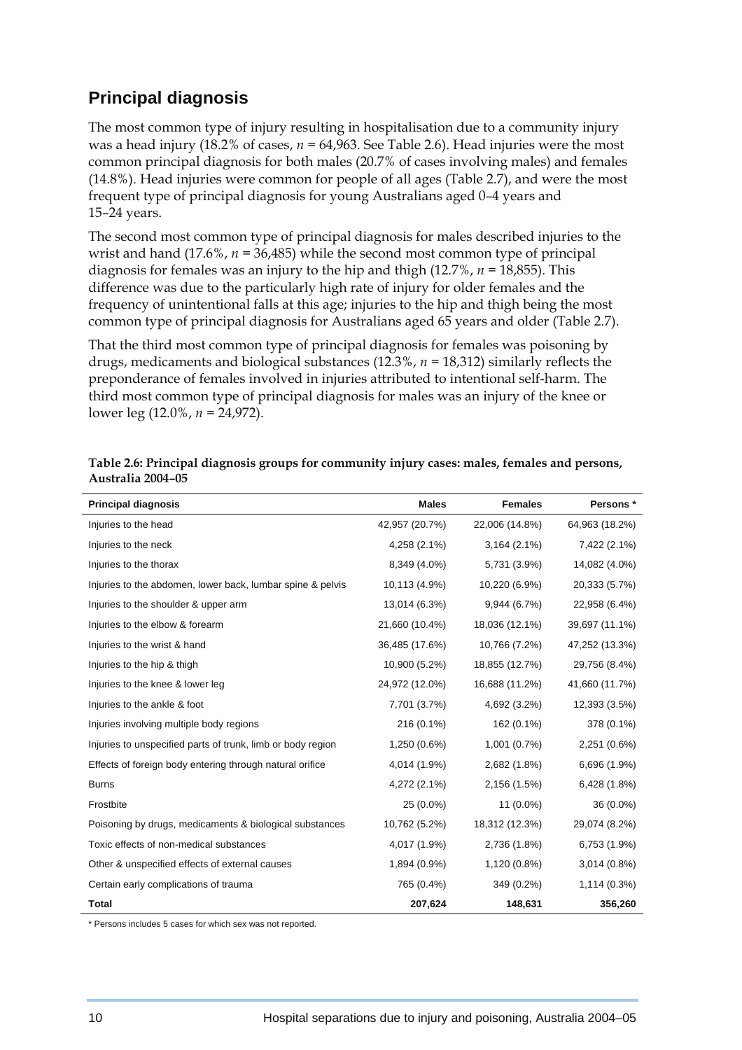### **Principal diagnosis**

The most common type of injury resulting in hospitalisation due to a community injury was a head injury  $(18.2\% \text{ of cases}, n = 64,963)$ . See Table 2.6). Head injuries were the most common principal diagnosis for both males (20.7% of cases involving males) and females (14.8%). Head injuries were common for people of all ages (Table 2.7), and were the most frequent type of principal diagnosis for young Australians aged 0–4 years and 15–24 years.

The second most common type of principal diagnosis for males described injuries to the wrist and hand (17.6%, *n =* 36,485) while the second most common type of principal diagnosis for females was an injury to the hip and thigh (12.7%, *n =* 18,855). This difference was due to the particularly high rate of injury for older females and the frequency of unintentional falls at this age; injuries to the hip and thigh being the most common type of principal diagnosis for Australians aged 65 years and older (Table 2.7).

That the third most common type of principal diagnosis for females was poisoning by drugs, medicaments and biological substances (12.3%, *n =* 18,312) similarly reflects the preponderance of females involved in injuries attributed to intentional self-harm. The third most common type of principal diagnosis for males was an injury of the knee or lower leg (12.0%, *n =* 24,972).

| <b>Principal diagnosis</b>                                  | <b>Males</b>   | <b>Females</b> | Persons *      |
|-------------------------------------------------------------|----------------|----------------|----------------|
| Injuries to the head                                        | 42,957 (20.7%) | 22,006 (14.8%) | 64,963 (18.2%) |
| Injuries to the neck                                        | 4,258 (2.1%)   | $3,164(2.1\%)$ | 7,422 (2.1%)   |
| Injuries to the thorax                                      | 8,349 (4.0%)   | 5,731 (3.9%)   | 14,082 (4.0%)  |
| Injuries to the abdomen, lower back, lumbar spine & pelvis  | 10,113 (4.9%)  | 10,220 (6.9%)  | 20,333 (5.7%)  |
| Injuries to the shoulder & upper arm                        | 13,014 (6.3%)  | 9,944 (6.7%)   | 22,958 (6.4%)  |
| Injuries to the elbow & forearm                             | 21,660 (10.4%) | 18,036 (12.1%) | 39,697 (11.1%) |
| Injuries to the wrist & hand                                | 36,485 (17.6%) | 10,766 (7.2%)  | 47,252 (13.3%) |
| Injuries to the hip & thigh                                 | 10,900 (5.2%)  | 18,855 (12.7%) | 29,756 (8.4%)  |
| Injuries to the knee & lower leg                            | 24,972 (12.0%) | 16,688 (11.2%) | 41,660 (11.7%) |
| Injuries to the ankle & foot                                | 7,701 (3.7%)   | 4,692 (3.2%)   | 12,393 (3.5%)  |
| Injuries involving multiple body regions                    | 216 (0.1%)     | 162 (0.1%)     | 378 (0.1%)     |
| Injuries to unspecified parts of trunk, limb or body region | 1,250 (0.6%)   | 1,001 (0.7%)   | 2,251 (0.6%)   |
| Effects of foreign body entering through natural orifice    | 4,014 (1.9%)   | 2,682 (1.8%)   | 6,696 (1.9%)   |
| <b>Burns</b>                                                | 4,272 (2.1%)   | 2,156 (1.5%)   | 6,428 (1.8%)   |
| Frostbite                                                   | 25 (0.0%)      | $11(0.0\%)$    | 36 (0.0%)      |
| Poisoning by drugs, medicaments & biological substances     | 10,762 (5.2%)  | 18,312 (12.3%) | 29,074 (8.2%)  |
| Toxic effects of non-medical substances                     | 4,017 (1.9%)   | 2,736 (1.8%)   | 6,753 (1.9%)   |
| Other & unspecified effects of external causes              | 1,894 (0.9%)   | 1,120 (0.8%)   | $3,014(0.8\%)$ |
| Certain early complications of trauma                       | 765 (0.4%)     | 349 (0.2%)     | 1,114(0.3%)    |
| <b>Total</b>                                                | 207,624        | 148,631        | 356,260        |

| Table 2.6: Principal diagnosis groups for community injury cases: males, females and persons, |  |  |  |
|-----------------------------------------------------------------------------------------------|--|--|--|
| Australia 2004–05                                                                             |  |  |  |

\* Persons includes 5 cases for which sex was not reported.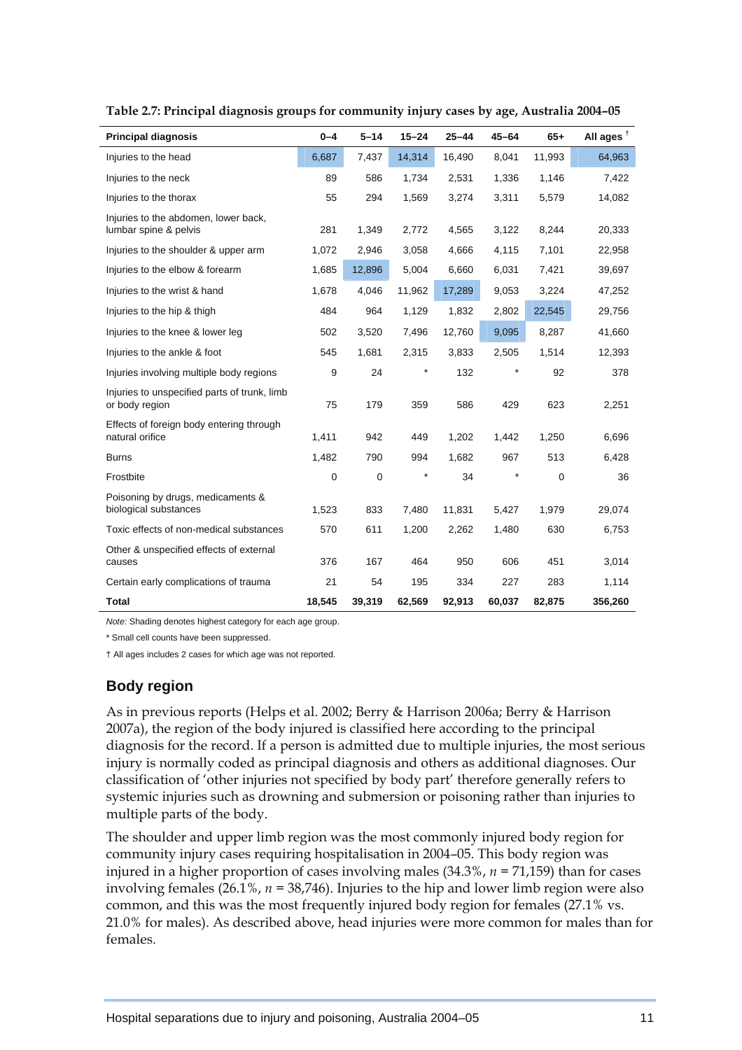| <b>Principal diagnosis</b>                                     | $0 - 4$ | $5 - 14$    | $15 - 24$ | $25 - 44$ | $45 - 64$ | $65+$  | All ages <sup>t</sup> |
|----------------------------------------------------------------|---------|-------------|-----------|-----------|-----------|--------|-----------------------|
| Injuries to the head                                           | 6,687   | 7,437       | 14,314    | 16,490    | 8,041     | 11,993 | 64,963                |
| Injuries to the neck                                           | 89      | 586         | 1,734     | 2,531     | 1,336     | 1,146  | 7,422                 |
| Injuries to the thorax                                         | 55      | 294         | 1,569     | 3,274     | 3,311     | 5,579  | 14,082                |
| Injuries to the abdomen, lower back,<br>lumbar spine & pelvis  | 281     | 1,349       | 2,772     | 4,565     | 3,122     | 8,244  | 20,333                |
| Injuries to the shoulder & upper arm                           | 1,072   | 2,946       | 3,058     | 4,666     | 4,115     | 7,101  | 22,958                |
| Injuries to the elbow & forearm                                | 1,685   | 12,896      | 5,004     | 6,660     | 6,031     | 7,421  | 39,697                |
| Injuries to the wrist & hand                                   | 1,678   | 4,046       | 11,962    | 17,289    | 9,053     | 3,224  | 47,252                |
| Injuries to the hip & thigh                                    | 484     | 964         | 1,129     | 1,832     | 2,802     | 22,545 | 29,756                |
| Injuries to the knee & lower leg                               | 502     | 3,520       | 7,496     | 12,760    | 9,095     | 8,287  | 41,660                |
| Injuries to the ankle & foot                                   | 545     | 1,681       | 2,315     | 3,833     | 2,505     | 1,514  | 12,393                |
| Injuries involving multiple body regions                       | 9       | 24          | $^\ast$   | 132       |           | 92     | 378                   |
| Injuries to unspecified parts of trunk, limb<br>or body region | 75      | 179         | 359       | 586       | 429       | 623    | 2,251                 |
| Effects of foreign body entering through<br>natural orifice    | 1,411   | 942         | 449       | 1,202     | 1,442     | 1,250  | 6,696                 |
| <b>Burns</b>                                                   | 1,482   | 790         | 994       | 1,682     | 967       | 513    | 6,428                 |
| Frostbite                                                      | 0       | $\mathbf 0$ |           | 34        |           | 0      | 36                    |
| Poisoning by drugs, medicaments &<br>biological substances     | 1,523   | 833         | 7,480     | 11,831    | 5,427     | 1,979  | 29,074                |
| Toxic effects of non-medical substances                        | 570     | 611         | 1,200     | 2,262     | 1,480     | 630    | 6,753                 |
| Other & unspecified effects of external<br>causes              | 376     | 167         | 464       | 950       | 606       | 451    | 3,014                 |
| Certain early complications of trauma                          | 21      | 54          | 195       | 334       | 227       | 283    | 1,114                 |
| <b>Total</b>                                                   | 18,545  | 39,319      | 62,569    | 92,913    | 60,037    | 82,875 | 356,260               |

**Table 2.7: Principal diagnosis groups for community injury cases by age, Australia 2004–05** 

*Note:* Shading denotes highest category for each age group.

\* Small cell counts have been suppressed.

† All ages includes 2 cases for which age was not reported.

#### **Body region**

As in previous reports (Helps et al. 2002; Berry & Harrison 2006a; Berry & Harrison 2007a), the region of the body injured is classified here according to the principal diagnosis for the record. If a person is admitted due to multiple injuries, the most serious injury is normally coded as principal diagnosis and others as additional diagnoses. Our classification of 'other injuries not specified by body part' therefore generally refers to systemic injuries such as drowning and submersion or poisoning rather than injuries to multiple parts of the body.

The shoulder and upper limb region was the most commonly injured body region for community injury cases requiring hospitalisation in 2004–05. This body region was injured in a higher proportion of cases involving males (34.3%, *n =* 71,159) than for cases involving females (26.1%, *n =* 38,746). Injuries to the hip and lower limb region were also common, and this was the most frequently injured body region for females (27.1% vs. 21.0% for males). As described above, head injuries were more common for males than for females.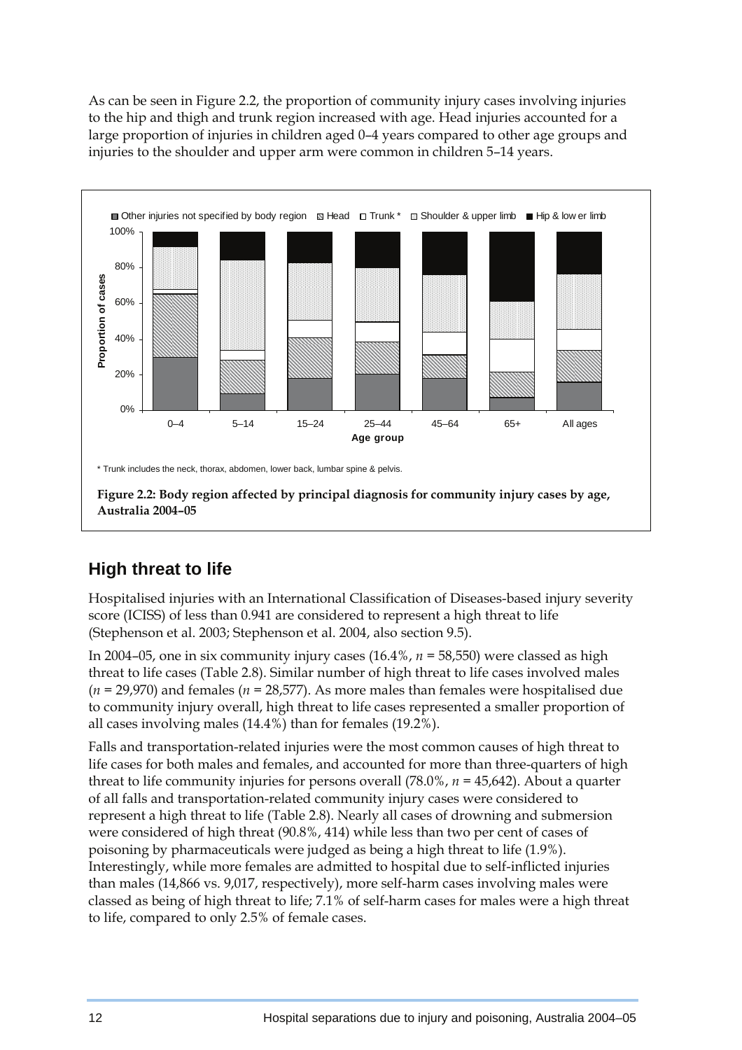As can be seen in Figure 2.2, the proportion of community injury cases involving injuries to the hip and thigh and trunk region increased with age. Head injuries accounted for a large proportion of injuries in children aged 0–4 years compared to other age groups and injuries to the shoulder and upper arm were common in children 5–14 years.



### **High threat to life**

Hospitalised injuries with an International Classification of Diseases-based injury severity score (ICISS) of less than 0.941 are considered to represent a high threat to life (Stephenson et al. 2003; Stephenson et al. 2004, also section 9.5).

In 2004–05, one in six community injury cases (16.4%, *n =* 58,550) were classed as high threat to life cases (Table 2.8). Similar number of high threat to life cases involved males (*n =* 29,970) and females (*n =* 28,577). As more males than females were hospitalised due to community injury overall, high threat to life cases represented a smaller proportion of all cases involving males (14.4%) than for females (19.2%).

Falls and transportation-related injuries were the most common causes of high threat to life cases for both males and females, and accounted for more than three-quarters of high threat to life community injuries for persons overall (78.0%, *n =* 45,642). About a quarter of all falls and transportation-related community injury cases were considered to represent a high threat to life (Table 2.8). Nearly all cases of drowning and submersion were considered of high threat (90.8%, 414) while less than two per cent of cases of poisoning by pharmaceuticals were judged as being a high threat to life (1.9%). Interestingly, while more females are admitted to hospital due to self-inflicted injuries than males (14,866 vs. 9,017, respectively), more self-harm cases involving males were classed as being of high threat to life; 7.1% of self-harm cases for males were a high threat to life, compared to only 2.5% of female cases.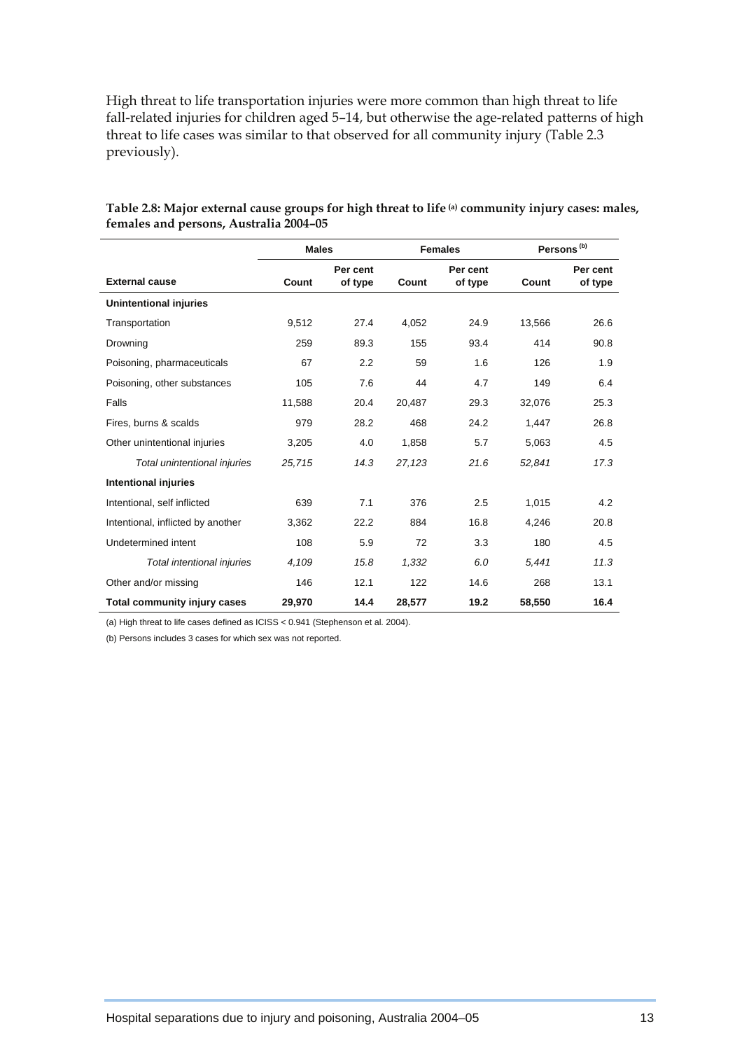High threat to life transportation injuries were more common than high threat to life fall-related injuries for children aged 5–14, but otherwise the age-related patterns of high threat to life cases was similar to that observed for all community injury (Table 2.3 previously).

|                                     | <b>Males</b> |                     | <b>Females</b>               |      |        | Persons <sup>(b)</sup> |  |
|-------------------------------------|--------------|---------------------|------------------------------|------|--------|------------------------|--|
| <b>External cause</b>               | Count        | Per cent<br>of type | Per cent<br>Count<br>of type |      | Count  | Per cent<br>of type    |  |
| <b>Unintentional injuries</b>       |              |                     |                              |      |        |                        |  |
| Transportation                      | 9,512        | 27.4                | 4,052                        | 24.9 | 13,566 | 26.6                   |  |
| Drowning                            | 259          | 89.3                | 155                          | 93.4 | 414    | 90.8                   |  |
| Poisoning, pharmaceuticals          | 67           | 2.2                 | 59                           | 1.6  | 126    | 1.9                    |  |
| Poisoning, other substances         | 105          | 7.6                 | 44                           | 4.7  | 149    | 6.4                    |  |
| Falls                               | 11,588       | 20.4                | 20,487                       | 29.3 | 32,076 | 25.3                   |  |
| Fires, burns & scalds               | 979          | 28.2                | 468                          | 24.2 | 1,447  | 26.8                   |  |
| Other unintentional injuries        | 3,205        | 4.0                 | 1,858                        | 5.7  | 5,063  | 4.5                    |  |
| Total unintentional injuries        | 25,715       | 14.3                | 27,123                       | 21.6 | 52,841 | 17.3                   |  |
| <b>Intentional injuries</b>         |              |                     |                              |      |        |                        |  |
| Intentional, self inflicted         | 639          | 7.1                 | 376                          | 2.5  | 1,015  | 4.2                    |  |
| Intentional, inflicted by another   | 3,362        | 22.2                | 884                          | 16.8 | 4,246  | 20.8                   |  |
| Undetermined intent                 | 108          | 5.9                 | 72                           | 3.3  | 180    | 4.5                    |  |
| Total intentional injuries          | 4,109        | 15.8                | 1,332                        | 6.0  | 5,441  | 11.3                   |  |
| Other and/or missing                | 146          | 12.1                | 122                          | 14.6 | 268    | 13.1                   |  |
| <b>Total community injury cases</b> | 29,970       | 14.4                | 28,577                       | 19.2 | 58,550 | 16.4                   |  |

#### **Table 2.8: Major external cause groups for high threat to life (a) community injury cases: males, females and persons, Australia 2004–05**

(a) High threat to life cases defined as ICISS < 0.941 (Stephenson et al. 2004).

(b) Persons includes 3 cases for which sex was not reported.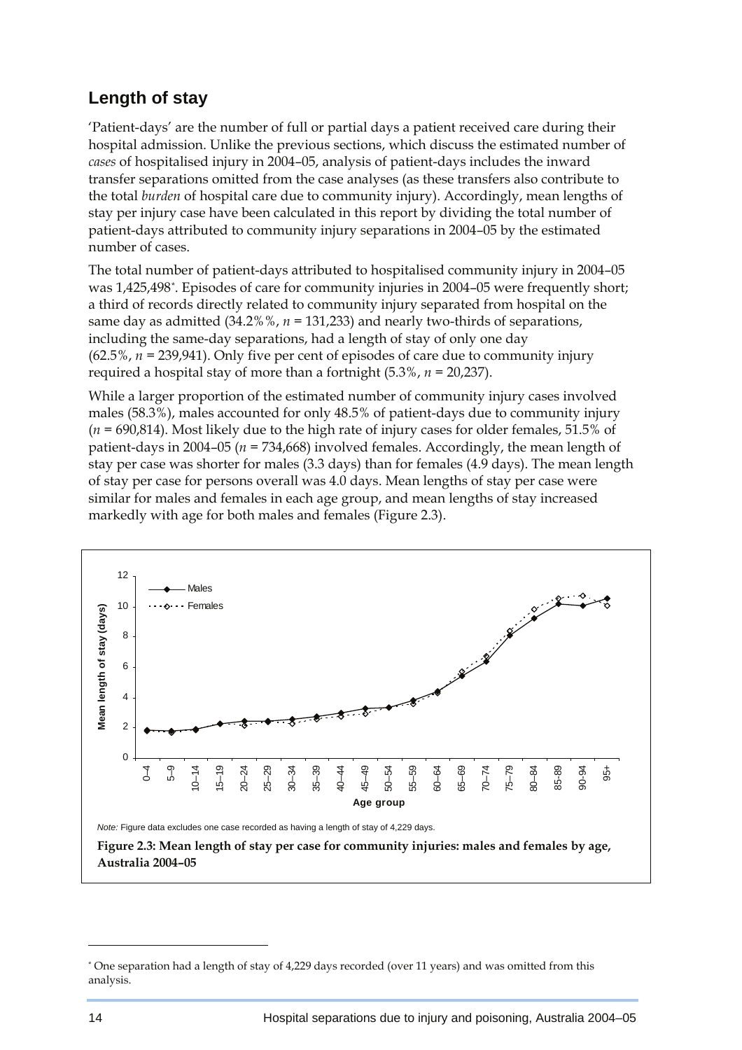### <span id="page-9-0"></span>**Length of stay**

'Patient-days' are the number of full or partial days a patient received care during their hospital admission. Unlike the previous sections, which discuss the estimated number of *cases* of hospitalised injury in 2004–05, analysis of patient-days includes the inward transfer separations omitted from the case analyses (as these transfers also contribute to the total *burden* of hospital care due to community injury). Accordingly, mean lengths of stay per injury case have been calculated in this report by dividing the total number of patient-days attributed to community injury separations in 2004–05 by the estimated number of cases.

The total number of patient-days attributed to hospitalised community injury in 2004–05 was 1,425,498[\\*](#page-9-0). Episodes of care for community injuries in 2004–05 were frequently short; a third of records directly related to community injury separated from hospital on the same day as admitted (34.2%%, *n =* 131,233) and nearly two-thirds of separations, including the same-day separations, had a length of stay of only one day (62.5%, *n =* 239,941). Only five per cent of episodes of care due to community injury required a hospital stay of more than a fortnight (5.3%, *n =* 20,237).

While a larger proportion of the estimated number of community injury cases involved males (58.3%), males accounted for only 48.5% of patient-days due to community injury (*n =* 690,814). Most likely due to the high rate of injury cases for older females, 51.5% of patient-days in 2004–05 (*n =* 734,668) involved females. Accordingly, the mean length of stay per case was shorter for males (3.3 days) than for females (4.9 days). The mean length of stay per case for persons overall was 4.0 days. Mean lengths of stay per case were similar for males and females in each age group, and mean lengths of stay increased markedly with age for both males and females (Figure 2.3).



 $\overline{a}$ 

<sup>\*</sup> One separation had a length of stay of 4,229 days recorded (over 11 years) and was omitted from this analysis.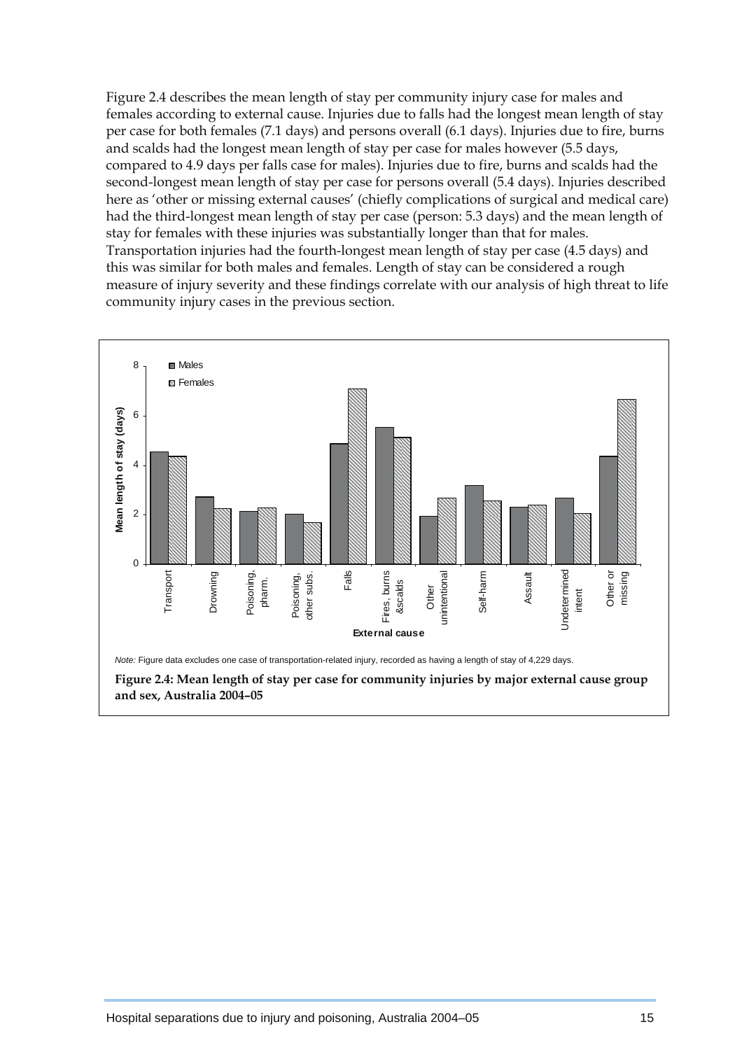Figure 2.4 describes the mean length of stay per community injury case for males and females according to external cause. Injuries due to falls had the longest mean length of stay per case for both females (7.1 days) and persons overall (6.1 days). Injuries due to fire, burns and scalds had the longest mean length of stay per case for males however (5.5 days, compared to 4.9 days per falls case for males). Injuries due to fire, burns and scalds had the second-longest mean length of stay per case for persons overall (5.4 days). Injuries described here as 'other or missing external causes' (chiefly complications of surgical and medical care) had the third-longest mean length of stay per case (person: 5.3 days) and the mean length of stay for females with these injuries was substantially longer than that for males. Transportation injuries had the fourth-longest mean length of stay per case (4.5 days) and this was similar for both males and females. Length of stay can be considered a rough measure of injury severity and these findings correlate with our analysis of high threat to life community injury cases in the previous section.

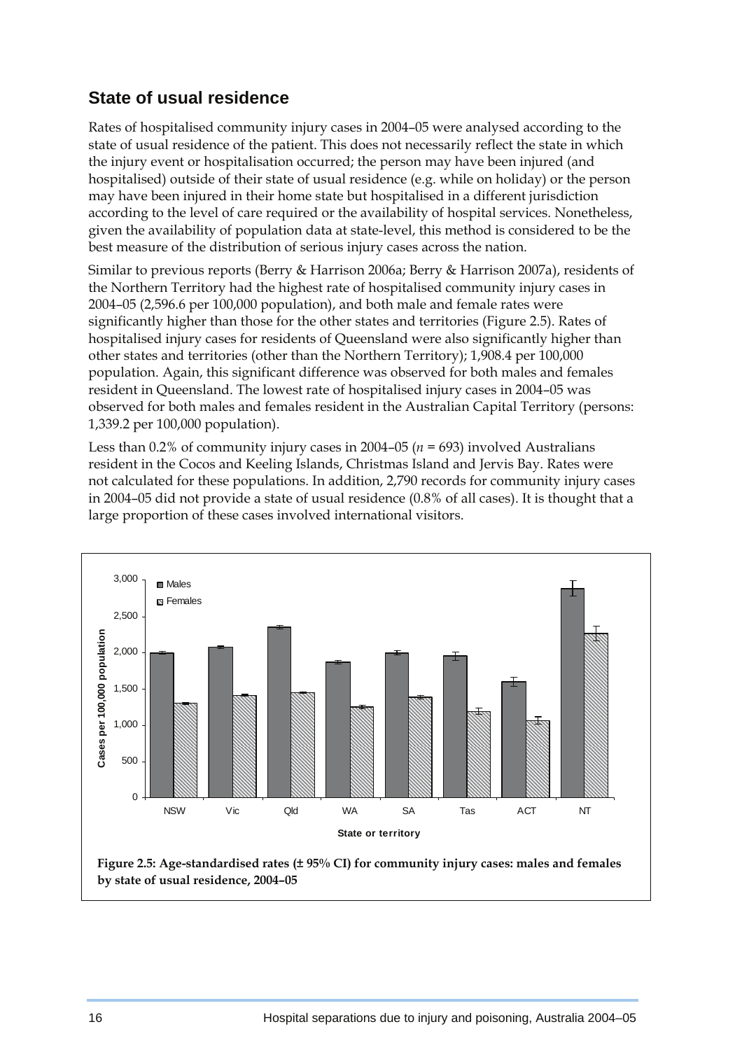### **State of usual residence**

Rates of hospitalised community injury cases in 2004–05 were analysed according to the state of usual residence of the patient. This does not necessarily reflect the state in which the injury event or hospitalisation occurred; the person may have been injured (and hospitalised) outside of their state of usual residence (e.g. while on holiday) or the person may have been injured in their home state but hospitalised in a different jurisdiction according to the level of care required or the availability of hospital services. Nonetheless, given the availability of population data at state-level, this method is considered to be the best measure of the distribution of serious injury cases across the nation.

Similar to previous reports (Berry & Harrison 2006a; Berry & Harrison 2007a), residents of the Northern Territory had the highest rate of hospitalised community injury cases in 2004–05 (2,596.6 per 100,000 population), and both male and female rates were significantly higher than those for the other states and territories (Figure 2.5). Rates of hospitalised injury cases for residents of Queensland were also significantly higher than other states and territories (other than the Northern Territory); 1,908.4 per 100,000 population. Again, this significant difference was observed for both males and females resident in Queensland. The lowest rate of hospitalised injury cases in 2004–05 was observed for both males and females resident in the Australian Capital Territory (persons: 1,339.2 per 100,000 population).

Less than 0.2% of community injury cases in 2004–05 (*n =* 693) involved Australians resident in the Cocos and Keeling Islands, Christmas Island and Jervis Bay. Rates were not calculated for these populations. In addition, 2,790 records for community injury cases in 2004–05 did not provide a state of usual residence (0.8% of all cases). It is thought that a large proportion of these cases involved international visitors.



 **Figure 2.5: Age-standardised rates (± 95% CI) for community injury cases: males and females by state of usual residence, 2004–05**